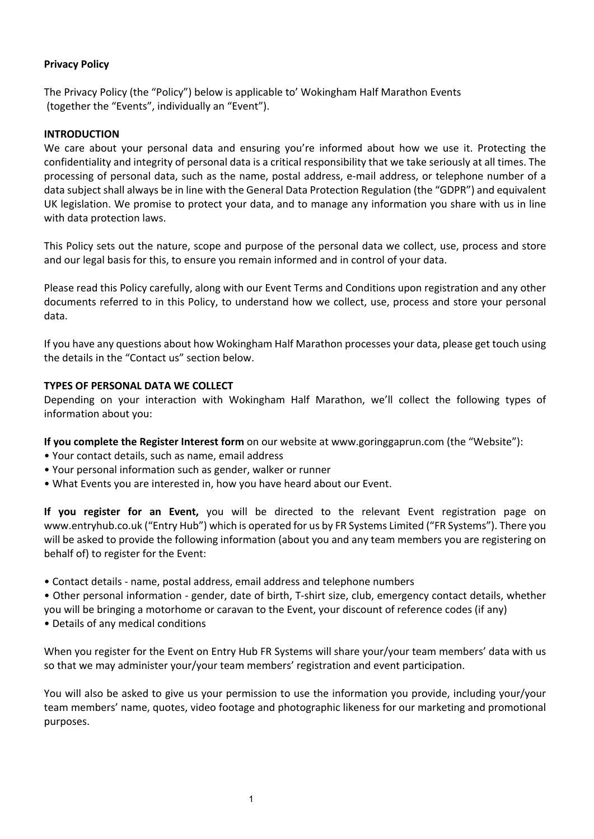# **Privacy Policy**

The Privacy Policy (the "Policy") below is applicable to' Wokingham Half Marathon Events (together the "Events", individually an "Event").

## **INTRODUCTION**

We care about your personal data and ensuring you're informed about how we use it. Protecting the confidentiality and integrity of personal data is a critical responsibility that we take seriously at all times. The processing of personal data, such as the name, postal address, e-mail address, or telephone number of a data subject shall always be in line with the General Data Protection Regulation (the "GDPR") and equivalent UK legislation. We promise to protect your data, and to manage any information you share with us in line with data protection laws.

This Policy sets out the nature, scope and purpose of the personal data we collect, use, process and store and our legal basis for this, to ensure you remain informed and in control of your data.

Please read this Policy carefully, along with our Event Terms and Conditions upon registration and any other documents referred to in this Policy, to understand how we collect, use, process and store your personal data.

If you have any questions about how Wokingham Half Marathon processes your data, please get touch using the details in the "Contact us" section below.

#### **TYPES OF PERSONAL DATA WE COLLECT**

Depending on your interaction with Wokingham Half Marathon, we'll collect the following types of information about you:

**If you complete the Register Interest form** on our website at www.goringgaprun.com (the "Website"):

- Your contact details, such as name, email address
- Your personal information such as gender, walker or runner
- What Events you are interested in, how you have heard about our Event.

**If you register for an Event,** you will be directed to the relevant Event registration page on www.entryhub.co.uk ("Entry Hub") which is operated for us by FR Systems Limited ("FR Systems"). There you will be asked to provide the following information (about you and any team members you are registering on behalf of) to register for the Event:

• Contact details - name, postal address, email address and telephone numbers

• Other personal information - gender, date of birth, T-shirt size, club, emergency contact details, whether you will be bringing a motorhome or caravan to the Event, your discount of reference codes (if any)

• Details of any medical conditions

When you register for the Event on Entry Hub FR Systems will share your/your team members' data with us so that we may administer your/your team members' registration and event participation.

You will also be asked to give us your permission to use the information you provide, including your/your team members' name, quotes, video footage and photographic likeness for our marketing and promotional purposes.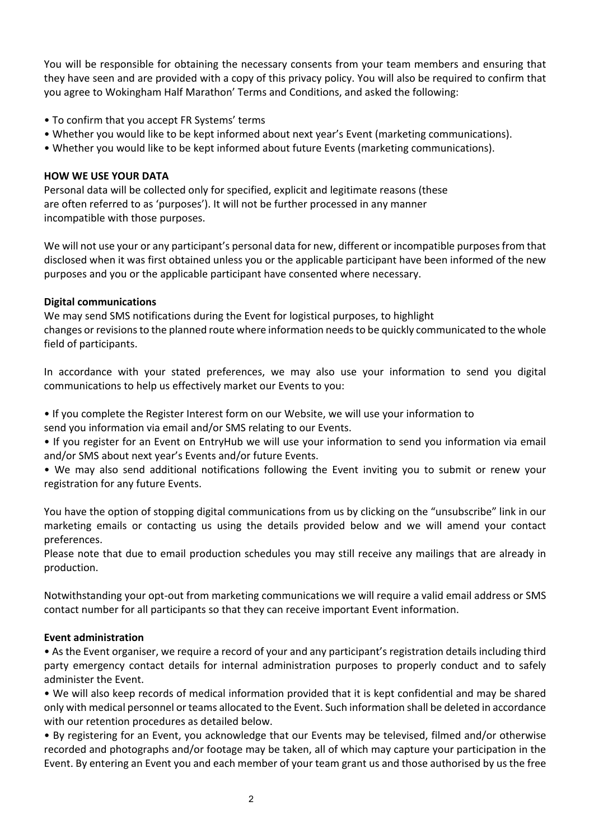You will be responsible for obtaining the necessary consents from your team members and ensuring that they have seen and are provided with a copy of this privacy policy. You will also be required to confirm that you agree to Wokingham Half Marathon' Terms and Conditions, and asked the following:

- To confirm that you accept FR Systems' terms
- Whether you would like to be kept informed about next year's Event (marketing communications).
- Whether you would like to be kept informed about future Events (marketing communications).

#### **HOW WE USE YOUR DATA**

Personal data will be collected only for specified, explicit and legitimate reasons (these are often referred to as 'purposes'). It will not be further processed in any manner incompatible with those purposes.

We will not use your or any participant's personal data for new, different or incompatible purposes from that disclosed when it was first obtained unless you or the applicable participant have been informed of the new purposes and you or the applicable participant have consented where necessary.

#### **Digital communications**

We may send SMS notifications during the Event for logistical purposes, to highlight changes or revisions to the planned route where information needs to be quickly communicated to the whole field of participants.

In accordance with your stated preferences, we may also use your information to send you digital communications to help us effectively market our Events to you:

• If you complete the Register Interest form on our Website, we will use your information to send you information via email and/or SMS relating to our Events.

• If you register for an Event on EntryHub we will use your information to send you information via email and/or SMS about next year's Events and/or future Events.

• We may also send additional notifications following the Event inviting you to submit or renew your registration for any future Events.

You have the option of stopping digital communications from us by clicking on the "unsubscribe" link in our marketing emails or contacting us using the details provided below and we will amend your contact preferences.

Please note that due to email production schedules you may still receive any mailings that are already in production.

Notwithstanding your opt-out from marketing communications we will require a valid email address or SMS contact number for all participants so that they can receive important Event information.

#### **Event administration**

• As the Event organiser, we require a record of your and any participant's registration details including third party emergency contact details for internal administration purposes to properly conduct and to safely administer the Event.

• We will also keep records of medical information provided that it is kept confidential and may be shared only with medical personnel or teams allocated to the Event. Such information shall be deleted in accordance with our retention procedures as detailed below.

• By registering for an Event, you acknowledge that our Events may be televised, filmed and/or otherwise recorded and photographs and/or footage may be taken, all of which may capture your participation in the Event. By entering an Event you and each member of your team grant us and those authorised by us the free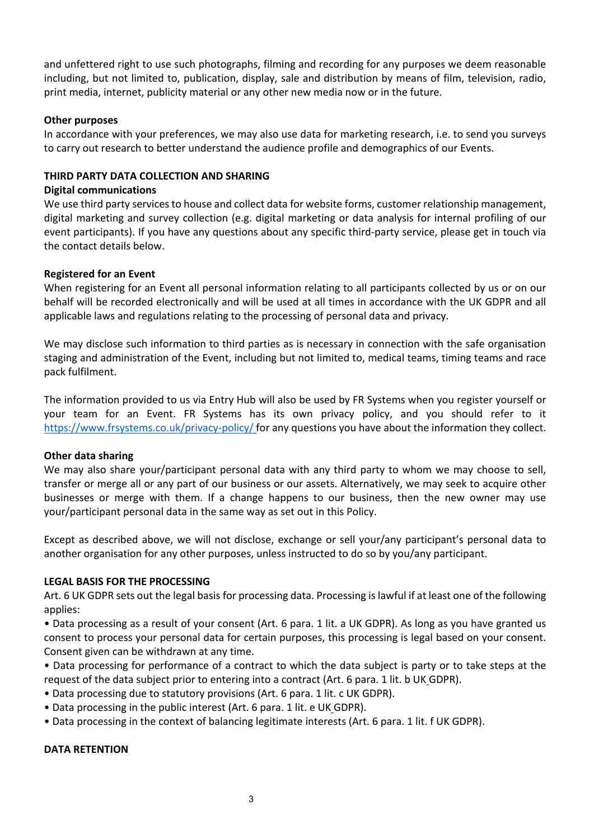and unfettered right to use such photographs, filming and recording for any purposes we deem reasonable including, but not limited to, publication, display, sale and distribution by means of film, television, radio, print media, internet, publicity material or any other new media now or in the future.

#### **Other purposes**

In accordance with your preferences, we may also use data for marketing research, i.e. to send you surveys to carry out research to better understand the audience profile and demographics of our Events.

#### **THIRD PARTY DATA COLLECTION AND SHARING**

#### **Digital communications**

We use third party services to house and collect data for website forms, customer relationship management, digital marketing and survey collection (e.g. digital marketing or data analysis for internal profiling of our event participants). If you have any questions about any specific third-party service, please get in touch via the contact details below.

#### **Registered for an Event**

When registering for an Event all personal information relating to all participants collected by us or on our behalf will be recorded electronically and will be used at all times in accordance with the UK GDPR and all applicable laws and regulations relating to the processing of personal data and privacy.

We may disclose such information to third parties as is necessary in connection with the safe organisation staging and administration of the Event, including but not limited to, medical teams, timing teams and race pack fulfilment.

The information provided to us via Entry Hub will also be used by FR Systems when you register yourself or your team for an Event. FR Systems has its own privacy policy, and you should refer to it https://www.frsystems.co.uk/privacy-policy/ for any questions you have about the information they collect.

## **Other data sharing**

We may also share your/participant personal data with any third party to whom we may choose to sell, transfer or merge all or any part of our business or our assets. Alternatively, we may seek to acquire other businesses or merge with them. If a change happens to our business, then the new owner may use your/participant personal data in the same way as set out in this Policy.

Except as described above, we will not disclose, exchange or sell your/any participant's personal data to another organisation for any other purposes, unless instructed to do so by you/any participant.

#### **LEGAL BASIS FOR THE PROCESSING**

Art. 6 UK GDPR sets out the legal basis for processing data. Processing is lawful if at least one of the following applies:

• Data processing as a result of your consent (Art. 6 para. 1 lit. a UK GDPR). As long as you have granted us consent to process your personal data for certain purposes, this processing is legal based on your consent. Consent given can be withdrawn at any time.

• Data processing for performance of a contract to which the data subject is party or to take steps at the request of the data subject prior to entering into a contract (Art. 6 para. 1 lit. b UK GDPR).

- Data processing due to statutory provisions (Art. 6 para. 1 lit. c UK GDPR).
- Data processing in the public interest (Art. 6 para. 1 lit. e UK GDPR).
- Data processing in the context of balancing legitimate interests (Art. 6 para. 1 lit. f UK GDPR).

#### **DATA RETENTION**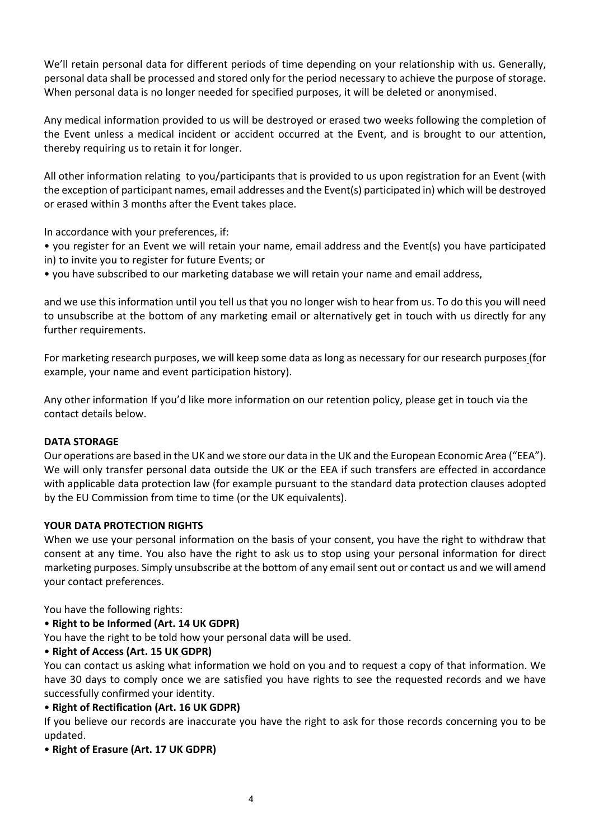We'll retain personal data for different periods of time depending on your relationship with us. Generally, personal data shall be processed and stored only for the period necessary to achieve the purpose of storage. When personal data is no longer needed for specified purposes, it will be deleted or anonymised.

Any medical information provided to us will be destroyed or erased two weeks following the completion of the Event unless a medical incident or accident occurred at the Event, and is brought to our attention, thereby requiring us to retain it for longer.

All other information relating to you/participants that is provided to us upon registration for an Event (with the exception of participant names, email addresses and the Event(s) participated in) which will be destroyed or erased within 3 months after the Event takes place.

In accordance with your preferences, if:

• you register for an Event we will retain your name, email address and the Event(s) you have participated in) to invite you to register for future Events; or

• you have subscribed to our marketing database we will retain your name and email address,

and we use this information until you tell us that you no longer wish to hear from us. To do this you will need to unsubscribe at the bottom of any marketing email or alternatively get in touch with us directly for any further requirements.

For marketing research purposes, we will keep some data as long as necessary for our research purposes (for example, your name and event participation history).

Any other information If you'd like more information on our retention policy, please get in touch via the contact details below.

## **DATA STORAGE**

Our operations are based in the UK and we store our data in the UK and the European Economic Area ("EEA"). We will only transfer personal data outside the UK or the EEA if such transfers are effected in accordance with applicable data protection law (for example pursuant to the standard data protection clauses adopted by the EU Commission from time to time (or the UK equivalents).

## **YOUR DATA PROTECTION RIGHTS**

When we use your personal information on the basis of your consent, you have the right to withdraw that consent at any time. You also have the right to ask us to stop using your personal information for direct marketing purposes. Simply unsubscribe at the bottom of any email sent out or contact us and we will amend your contact preferences.

You have the following rights:

## • **Right to be Informed (Art. 14 UK GDPR)**

You have the right to be told how your personal data will be used.

## • **Right of Access (Art. 15 UK GDPR)**

You can contact us asking what information we hold on you and to request a copy of that information. We have 30 days to comply once we are satisfied you have rights to see the requested records and we have successfully confirmed your identity.

• **Right of Rectification (Art. 16 UK GDPR)**

If you believe our records are inaccurate you have the right to ask for those records concerning you to be updated.

## • **Right of Erasure (Art. 17 UK GDPR)**